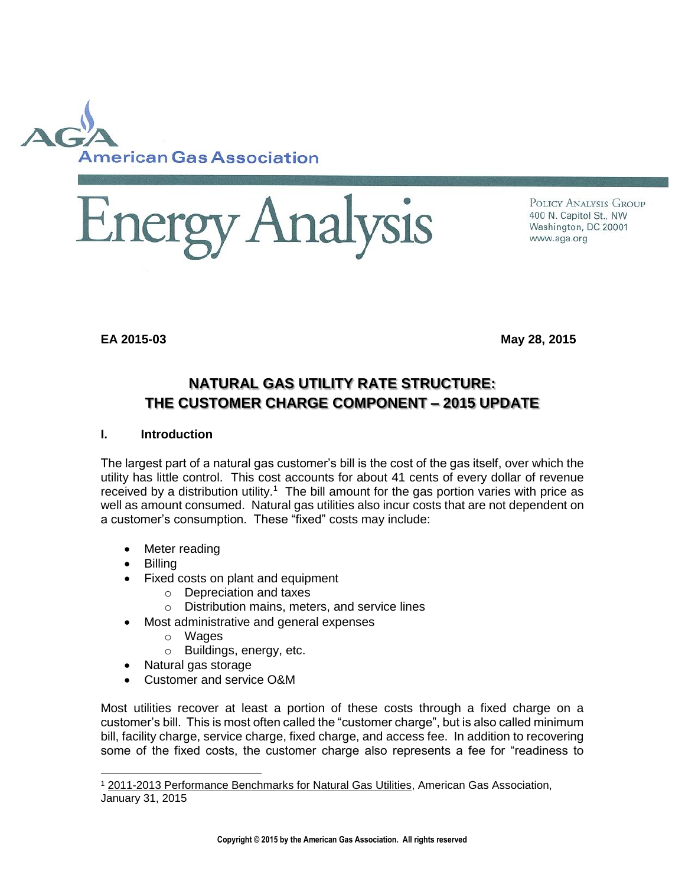



POLICY ANALYSIS GROUP 400 N. Capitol St., NW Washington, DC 20001 www.aga.org

**EA 2015-03 May 28, 2015**

# **NATURAL GAS UTILITY RATE STRUCTURE: THE CUSTOMER CHARGE COMPONENT – 2015 UPDATE**

#### **I. Introduction**

The largest part of a natural gas customer's bill is the cost of the gas itself, over which the utility has little control. This cost accounts for about 41 cents of every dollar of revenue received by a distribution utility.<sup>1</sup> The bill amount for the gas portion varies with price as well as amount consumed. Natural gas utilities also incur costs that are not dependent on a customer's consumption. These "fixed" costs may include:

- Meter reading
- Billing

- Fixed costs on plant and equipment
	- o Depreciation and taxes
	- o Distribution mains, meters, and service lines
	- Most administrative and general expenses
		- o Wages
		- o Buildings, energy, etc.
- Natural gas storage
- Customer and service O&M

Most utilities recover at least a portion of these costs through a fixed charge on a customer's bill. This is most often called the "customer charge", but is also called minimum bill, facility charge, service charge, fixed charge, and access fee. In addition to recovering some of the fixed costs, the customer charge also represents a fee for "readiness to

<sup>&</sup>lt;sup>1</sup> 2011-2013 Performance Benchmarks for Natural Gas Utilities, American Gas Association, January 31, 2015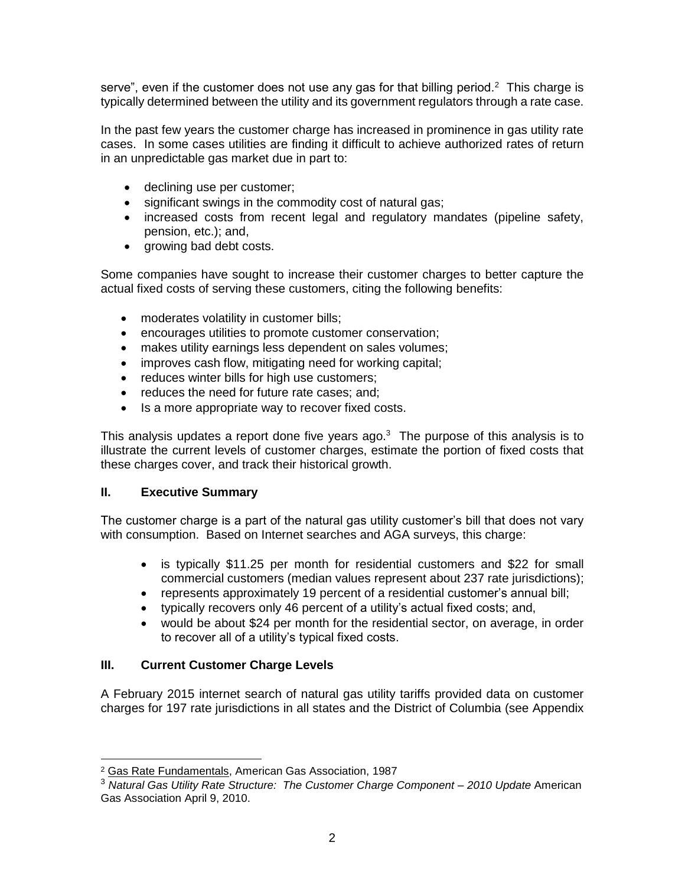serve", even if the customer does not use any gas for that billing period.<sup>2</sup> This charge is typically determined between the utility and its government regulators through a rate case.

In the past few years the customer charge has increased in prominence in gas utility rate cases. In some cases utilities are finding it difficult to achieve authorized rates of return in an unpredictable gas market due in part to:

- declining use per customer;
- significant swings in the commodity cost of natural gas;
- increased costs from recent legal and regulatory mandates (pipeline safety, pension, etc.); and,
- growing bad debt costs.

Some companies have sought to increase their customer charges to better capture the actual fixed costs of serving these customers, citing the following benefits:

- moderates volatility in customer bills;
- encourages utilities to promote customer conservation;
- makes utility earnings less dependent on sales volumes;
- improves cash flow, mitigating need for working capital;
- reduces winter bills for high use customers;
- reduces the need for future rate cases; and;
- Is a more appropriate way to recover fixed costs.

This analysis updates a report done five years ago. $3$  The purpose of this analysis is to illustrate the current levels of customer charges, estimate the portion of fixed costs that these charges cover, and track their historical growth.

## **II. Executive Summary**

The customer charge is a part of the natural gas utility customer's bill that does not vary with consumption. Based on Internet searches and AGA surveys, this charge:

- is typically \$11.25 per month for residential customers and \$22 for small commercial customers (median values represent about 237 rate jurisdictions);
- represents approximately 19 percent of a residential customer's annual bill;
- typically recovers only 46 percent of a utility's actual fixed costs; and,
- would be about \$24 per month for the residential sector, on average, in order to recover all of a utility's typical fixed costs.

## **III. Current Customer Charge Levels**

A February 2015 internet search of natural gas utility tariffs provided data on customer charges for 197 rate jurisdictions in all states and the District of Columbia (see Appendix

 $\overline{a}$ <sup>2</sup> Gas Rate Fundamentals, American Gas Association, 1987

<sup>3</sup> *Natural Gas Utility Rate Structure: The Customer Charge Component* – *2010 Update* American Gas Association April 9, 2010.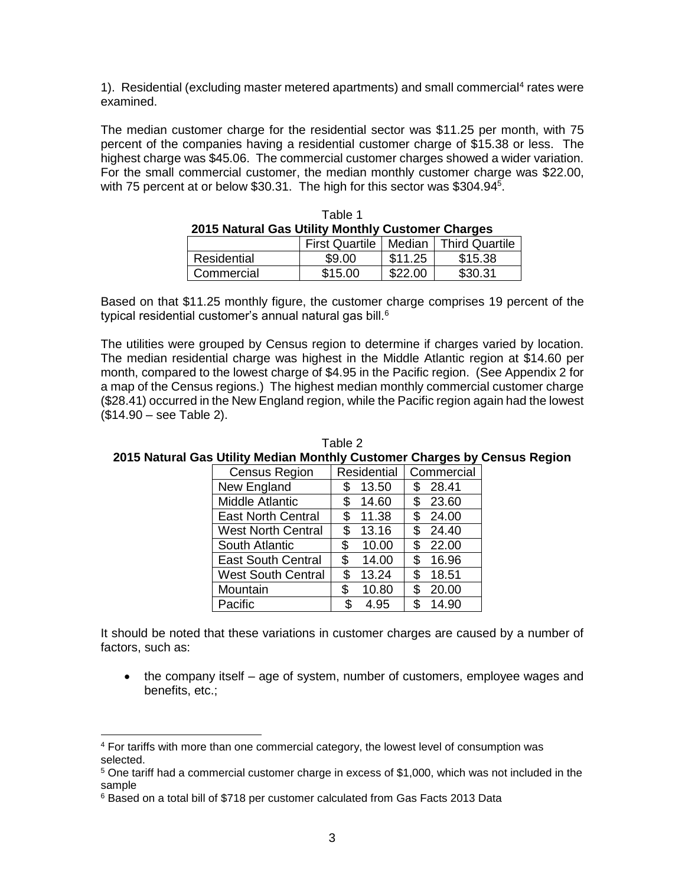1). Residential (excluding master metered apartments) and small commercial<sup>4</sup> rates were examined.

The median customer charge for the residential sector was \$11.25 per month, with 75 percent of the companies having a residential customer charge of \$15.38 or less. The highest charge was \$45.06. The commercial customer charges showed a wider variation. For the small commercial customer, the median monthly customer charge was \$22.00, with 75 percent at or below \$30.31. The high for this sector was \$304.94<sup>5</sup>.

| 2015 Natural Gas Utility Monthly Customer Charges |         |         |         |  |  |  |
|---------------------------------------------------|---------|---------|---------|--|--|--|
| First Quartile   Median   Third Quartile          |         |         |         |  |  |  |
| Residential                                       | \$9.00  | \$11.25 | \$15.38 |  |  |  |
| Commercial                                        | \$15.00 | \$22.00 | \$30.31 |  |  |  |

| Table 1                                           |  |
|---------------------------------------------------|--|
| 2015 Natural Gas Utility Monthly Customer Charges |  |

Based on that \$11.25 monthly figure, the customer charge comprises 19 percent of the typical residential customer's annual natural gas bill.<sup>6</sup>

The utilities were grouped by Census region to determine if charges varied by location. The median residential charge was highest in the Middle Atlantic region at \$14.60 per month, compared to the lowest charge of \$4.95 in the Pacific region. (See Appendix 2 for a map of the Census regions.) The highest median monthly commercial customer charge (\$28.41) occurred in the New England region, while the Pacific region again had the lowest (\$14.90 – see Table 2).

| <b>Census Region</b>      |    | <b>Residential</b> |    | Commercial |  |  |
|---------------------------|----|--------------------|----|------------|--|--|
| New England               | S  | 13.50              | \$ | 28.41      |  |  |
| <b>Middle Atlantic</b>    | \$ | 14.60              | \$ | 23.60      |  |  |
| <b>East North Central</b> | \$ | 11.38              | \$ | 24.00      |  |  |
| <b>West North Central</b> | \$ | 13.16              | \$ | 24.40      |  |  |
| South Atlantic            | \$ | 10.00              | \$ | 22.00      |  |  |
| <b>East South Central</b> | \$ | 14.00              | \$ | 16.96      |  |  |
| <b>West South Central</b> | \$ | 13.24              | \$ | 18.51      |  |  |
| Mountain                  | \$ | 10.80              | \$ | 20.00      |  |  |
| Pacific                   | \$ | 4.95               | \$ | 14.90      |  |  |

Table 2 **2015 Natural Gas Utility Median Monthly Customer Charges by Census Region**

It should be noted that these variations in customer charges are caused by a number of factors, such as:

• the company itself – age of system, number of customers, employee wages and benefits, etc.;

<sup>4</sup> For tariffs with more than one commercial category, the lowest level of consumption was selected.

<sup>5</sup> One tariff had a commercial customer charge in excess of \$1,000, which was not included in the sample

<sup>6</sup> Based on a total bill of \$718 per customer calculated from Gas Facts 2013 Data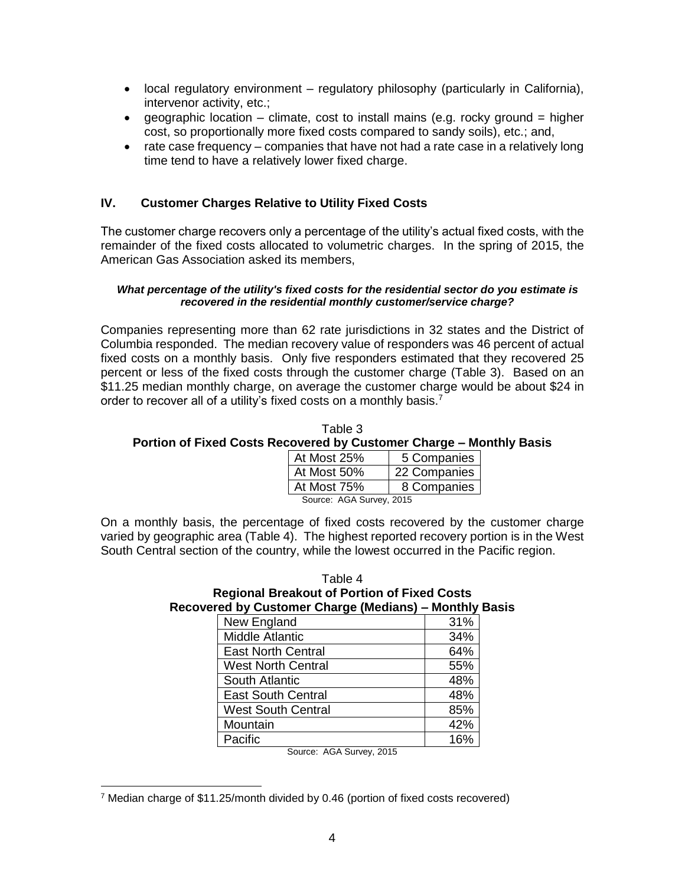- local regulatory environment regulatory philosophy (particularly in California), intervenor activity, etc.;
- e geographic location climate, cost to install mains (e.g. rocky ground = higher cost, so proportionally more fixed costs compared to sandy soils), etc.; and,
- rate case frequency companies that have not had a rate case in a relatively long time tend to have a relatively lower fixed charge.

#### **IV. Customer Charges Relative to Utility Fixed Costs**

The customer charge recovers only a percentage of the utility's actual fixed costs, with the remainder of the fixed costs allocated to volumetric charges. In the spring of 2015, the American Gas Association asked its members,

#### *What percentage of the utility's fixed costs for the residential sector do you estimate is recovered in the residential monthly customer/service charge?*

Companies representing more than 62 rate jurisdictions in 32 states and the District of Columbia responded. The median recovery value of responders was 46 percent of actual fixed costs on a monthly basis. Only five responders estimated that they recovered 25 percent or less of the fixed costs through the customer charge (Table 3). Based on an \$11.25 median monthly charge, on average the customer charge would be about \$24 in order to recover all of a utility's fixed costs on a monthly basis.<sup>7</sup>

Table 3 **Portion of Fixed Costs Recovered by Customer Charge – Monthly Basis**

| At Most 25%              | 5 Companies  |  |  |  |
|--------------------------|--------------|--|--|--|
| At Most 50%              | 22 Companies |  |  |  |
| At Most 75%              | 8 Companies  |  |  |  |
| Source: AGA Survey, 2015 |              |  |  |  |

On a monthly basis, the percentage of fixed costs recovered by the customer charge varied by geographic area (Table 4). The highest reported recovery portion is in the West South Central section of the country, while the lowest occurred in the Pacific region.

| Table 4                                                |
|--------------------------------------------------------|
| <b>Regional Breakout of Portion of Fixed Costs</b>     |
| Recovered by Customer Charge (Medians) – Monthly Basis |

| New England               | 31% |
|---------------------------|-----|
| <b>Middle Atlantic</b>    | 34% |
| <b>East North Central</b> | 64% |
| <b>West North Central</b> | 55% |
| South Atlantic            | 48% |
| <b>East South Central</b> | 48% |
| <b>West South Central</b> | 85% |
| Mountain                  | 42% |
| Pacific                   | 16% |

Source: AGA Survey, 2015

<sup>7</sup> Median charge of \$11.25/month divided by 0.46 (portion of fixed costs recovered)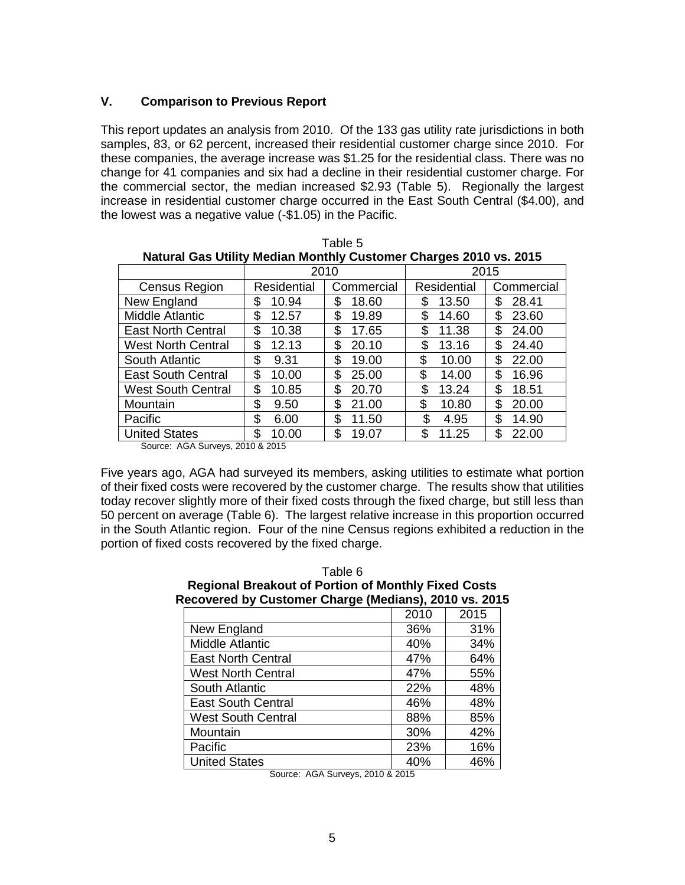## **V. Comparison to Previous Report**

This report updates an analysis from 2010. Of the 133 gas utility rate jurisdictions in both samples, 83, or 62 percent, increased their residential customer charge since 2010. For these companies, the average increase was \$1.25 for the residential class. There was no change for 41 companies and six had a decline in their residential customer charge. For the commercial sector, the median increased \$2.93 (Table 5). Regionally the largest increase in residential customer charge occurred in the East South Central (\$4.00), and the lowest was a negative value (-\$1.05) in the Pacific.

| Natural Gas Utility Median Monthly Customer Charges 2010 vs. 2015 |             |            |             |            |  |  |  |
|-------------------------------------------------------------------|-------------|------------|-------------|------------|--|--|--|
|                                                                   | 2010        |            | 2015        |            |  |  |  |
| Census Region                                                     | Residential | Commercial | Residential | Commercial |  |  |  |
| New England                                                       | 10.94<br>S  | 18.60<br>S | 13.50       | 28.41<br>S |  |  |  |
| Middle Atlantic                                                   | \$          | \$         | \$          | \$         |  |  |  |
|                                                                   | 12.57       | 19.89      | 14.60       | 23.60      |  |  |  |
| <b>East North Central</b>                                         | \$          | \$         | \$          | \$         |  |  |  |
|                                                                   | 10.38       | 17.65      | 11.38       | 24.00      |  |  |  |
| <b>West North Central</b>                                         | \$          | \$         | 13.16       | \$         |  |  |  |
|                                                                   | 12.13       | 20.10      | \$          | 24.40      |  |  |  |
| South Atlantic                                                    | \$          | \$         | \$          | \$         |  |  |  |
|                                                                   | 9.31        | 19.00      | 10.00       | 22.00      |  |  |  |
| <b>East South Central</b>                                         | \$          | \$         | \$          | \$         |  |  |  |
|                                                                   | 10.00       | 25.00      | 14.00       | 16.96      |  |  |  |
| <b>West South Central</b>                                         | \$          | S.         | \$          | \$         |  |  |  |
|                                                                   | 10.85       | 20.70      | 13.24       | 18.51      |  |  |  |
| Mountain                                                          | \$          | \$         | \$          | \$         |  |  |  |
|                                                                   | 9.50        | 21.00      | 10.80       | 20.00      |  |  |  |
| Pacific                                                           | \$          | \$         | \$          | S.         |  |  |  |
|                                                                   | 6.00        | 11.50      | 4.95        | 14.90      |  |  |  |
| <b>United States</b>                                              | \$          | \$         | \$          | \$         |  |  |  |
|                                                                   | 10.00       | 19.07      | 11.25       | 22.00      |  |  |  |

| Table 5                                                           |  |
|-------------------------------------------------------------------|--|
| Natural Gas Utility Median Monthly Customer Charges 2010 vs. 2015 |  |

Source: AGA Surveys, 2010 & 2015

Five years ago, AGA had surveyed its members, asking utilities to estimate what portion of their fixed costs were recovered by the customer charge. The results show that utilities today recover slightly more of their fixed costs through the fixed charge, but still less than 50 percent on average (Table 6). The largest relative increase in this proportion occurred in the South Atlantic region. Four of the nine Census regions exhibited a reduction in the portion of fixed costs recovered by the fixed charge.

| Recovered by Customer Charge (Medians), 2010 vs. 2015 |      |      |
|-------------------------------------------------------|------|------|
|                                                       | 2010 | 2015 |
| New England                                           | 36%  | 31%  |
| <b>Middle Atlantic</b>                                | 40%  | 34%  |
| <b>East North Central</b>                             | 47%  | 64%  |
| <b>West North Central</b>                             | 47%  | 55%  |
| South Atlantic                                        | 22%  | 48%  |
| <b>East South Central</b>                             | 46%  | 48%  |
| <b>West South Central</b>                             | 88%  | 85%  |
| Mountain                                              | 30%  | 42%  |
| Pacific                                               | 23%  | 16%  |
| <b>United States</b>                                  | 40%  | 46%  |

# Table 6 **Regional Breakout of Portion of Monthly Fixed Costs**

Source: AGA Surveys, 2010 & 2015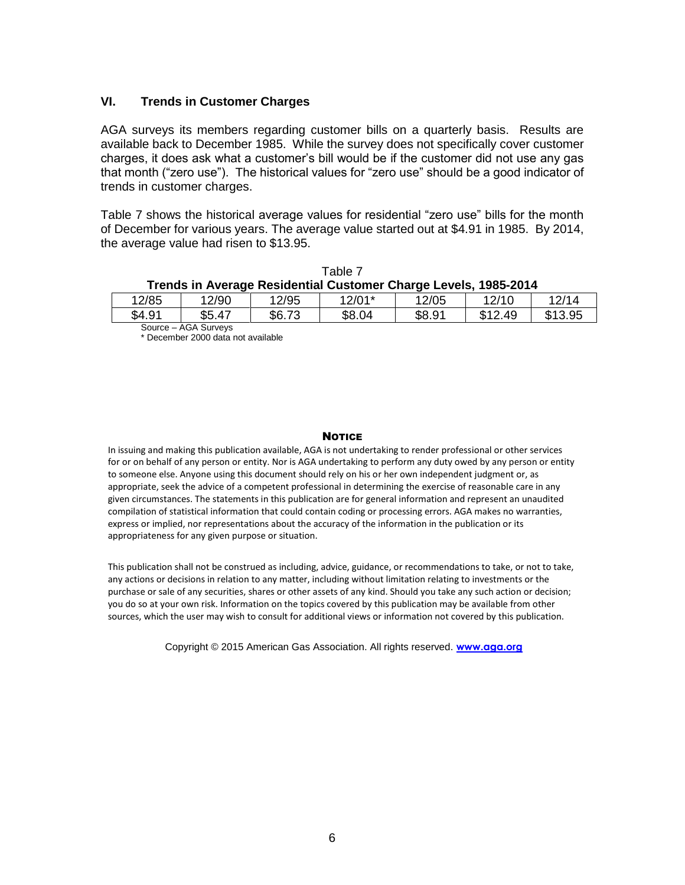#### **VI. Trends in Customer Charges**

AGA surveys its members regarding customer bills on a quarterly basis. Results are available back to December 1985. While the survey does not specifically cover customer charges, it does ask what a customer's bill would be if the customer did not use any gas that month ("zero use"). The historical values for "zero use" should be a good indicator of trends in customer charges.

Table 7 shows the historical average values for residential "zero use" bills for the month of December for various years. The average value started out at \$4.91 in 1985. By 2014, the average value had risen to \$13.95.

|                                                                 |       |     | Table 7  |     |       |  |  |
|-----------------------------------------------------------------|-------|-----|----------|-----|-------|--|--|
| Trends in Average Residential Customer Charge Levels, 1985-2014 |       |     |          |     |       |  |  |
| 10E                                                             | 10/00 | 10E | $40/04*$ | 10E | 10110 |  |  |

| 12/85    | 12/90       | 12/95  | 12/01* | 12/05  | 12/10             | 12/14   |
|----------|-------------|--------|--------|--------|-------------------|---------|
| \$4.91   | \$5.47      | \$6.73 | \$8.04 | \$8.91 | ৫ 4 0.<br>49<br>u | \$13.95 |
| Source - | AGA Survevs |        |        |        |                   |         |

\* December 2000 data not available

#### **NOTICE**

In issuing and making this publication available, AGA is not undertaking to render professional or other services for or on behalf of any person or entity. Nor is AGA undertaking to perform any duty owed by any person or entity to someone else. Anyone using this document should rely on his or her own independent judgment or, as appropriate, seek the advice of a competent professional in determining the exercise of reasonable care in any given circumstances. The statements in this publication are for general information and represent an unaudited compilation of statistical information that could contain coding or processing errors. AGA makes no warranties, express or implied, nor representations about the accuracy of the information in the publication or its appropriateness for any given purpose or situation.

This publication shall not be construed as including, advice, guidance, or recommendations to take, or not to take, any actions or decisions in relation to any matter, including without limitation relating to investments or the purchase or sale of any securities, shares or other assets of any kind. Should you take any such action or decision; you do so at your own risk. Information on the topics covered by this publication may be available from other sources, which the user may wish to consult for additional views or information not covered by this publication.

Copyright © 2015 American Gas Association. All rights reserved. **[www.aga.org](http://www.aga.org/)**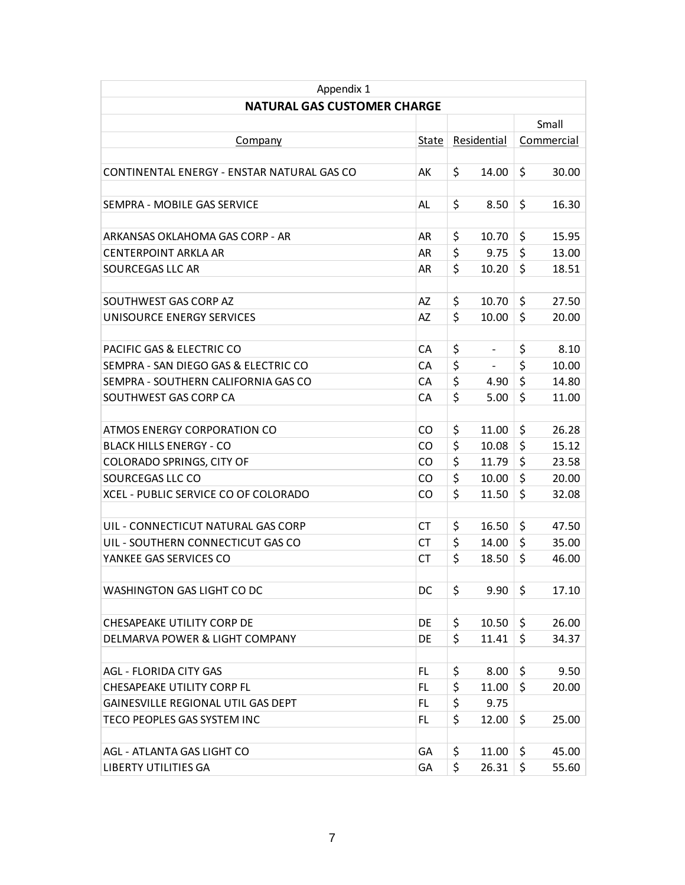| Appendix 1                                 |       |    |             |    |            |  |  |
|--------------------------------------------|-------|----|-------------|----|------------|--|--|
| <b>NATURAL GAS CUSTOMER CHARGE</b>         |       |    |             |    |            |  |  |
|                                            |       |    |             |    | Small      |  |  |
| <b>Company</b>                             | State |    | Residential |    | Commercial |  |  |
|                                            |       |    |             |    |            |  |  |
| CONTINENTAL ENERGY - ENSTAR NATURAL GAS CO | AK    | \$ | 14.00       | \$ | 30.00      |  |  |
|                                            |       |    |             |    |            |  |  |
| SEMPRA - MOBILE GAS SERVICE                | AL    | \$ | 8.50        | \$ | 16.30      |  |  |
|                                            |       |    |             |    |            |  |  |
| ARKANSAS OKLAHOMA GAS CORP - AR            | AR    | \$ | 10.70       | \$ | 15.95      |  |  |
| <b>CENTERPOINT ARKLA AR</b>                | AR    | \$ | 9.75        | \$ | 13.00      |  |  |
| SOURCEGAS LLC AR                           | AR    | \$ | 10.20       | \$ | 18.51      |  |  |
|                                            |       |    |             |    |            |  |  |
| SOUTHWEST GAS CORP AZ                      | AZ    | \$ | 10.70       | \$ | 27.50      |  |  |
| UNISOURCE ENERGY SERVICES                  | AZ    | \$ | 10.00       | \$ | 20.00      |  |  |
|                                            |       |    |             |    |            |  |  |
| PACIFIC GAS & ELECTRIC CO                  | CA    | \$ | -           | \$ | 8.10       |  |  |
| SEMPRA - SAN DIEGO GAS & ELECTRIC CO       | CА    | \$ |             | \$ | 10.00      |  |  |
| SEMPRA - SOUTHERN CALIFORNIA GAS CO        | CА    | \$ | 4.90        | \$ | 14.80      |  |  |
| SOUTHWEST GAS CORP CA                      | CA    | \$ | 5.00        | \$ | 11.00      |  |  |
|                                            |       |    |             |    |            |  |  |
| ATMOS ENERGY CORPORATION CO                | CO.   | \$ | 11.00       | \$ | 26.28      |  |  |
| <b>BLACK HILLS ENERGY - CO</b>             | CO.   | \$ | 10.08       | \$ | 15.12      |  |  |
| COLORADO SPRINGS, CITY OF                  | CO.   | \$ | 11.79       | \$ | 23.58      |  |  |
| SOURCEGAS LLC CO                           | CO.   | \$ | 10.00       | \$ | 20.00      |  |  |
| XCEL - PUBLIC SERVICE CO OF COLORADO       | CO.   | \$ | 11.50       | \$ | 32.08      |  |  |
|                                            |       |    |             |    |            |  |  |
| UIL - CONNECTICUT NATURAL GAS CORP         | CТ    | \$ | 16.50       | \$ | 47.50      |  |  |
| UIL - SOUTHERN CONNECTICUT GAS CO          | CТ    | \$ | 14.00       | \$ | 35.00      |  |  |
| YANKEE GAS SERVICES CO                     | СT    | \$ | 18.50       | \$ | 46.00      |  |  |
|                                            |       |    |             |    |            |  |  |
| WASHINGTON GAS LIGHT CO DC                 | DC.   | \$ | 9.90        | \$ | 17.10      |  |  |
|                                            |       |    |             |    |            |  |  |
| CHESAPEAKE UTILITY CORP DE                 | DE    | \$ | 10.50       | \$ | 26.00      |  |  |
| DELMARVA POWER & LIGHT COMPANY             | DE    | \$ | 11.41       | \$ | 34.37      |  |  |
|                                            |       |    |             |    |            |  |  |
| <b>AGL - FLORIDA CITY GAS</b>              | FL    | \$ | 8.00        | \$ | 9.50       |  |  |
| <b>CHESAPEAKE UTILITY CORP FL</b>          | FL    | \$ | 11.00       | \$ | 20.00      |  |  |
| GAINESVILLE REGIONAL UTIL GAS DEPT         | FL.   | \$ | 9.75        |    |            |  |  |
| TECO PEOPLES GAS SYSTEM INC                | FL.   | \$ | 12.00       | \$ | 25.00      |  |  |
|                                            |       |    |             |    |            |  |  |
| AGL - ATLANTA GAS LIGHT CO                 | GA    | \$ | 11.00       | \$ | 45.00      |  |  |
| <b>LIBERTY UTILITIES GA</b>                | GA    | \$ | 26.31       | \$ | 55.60      |  |  |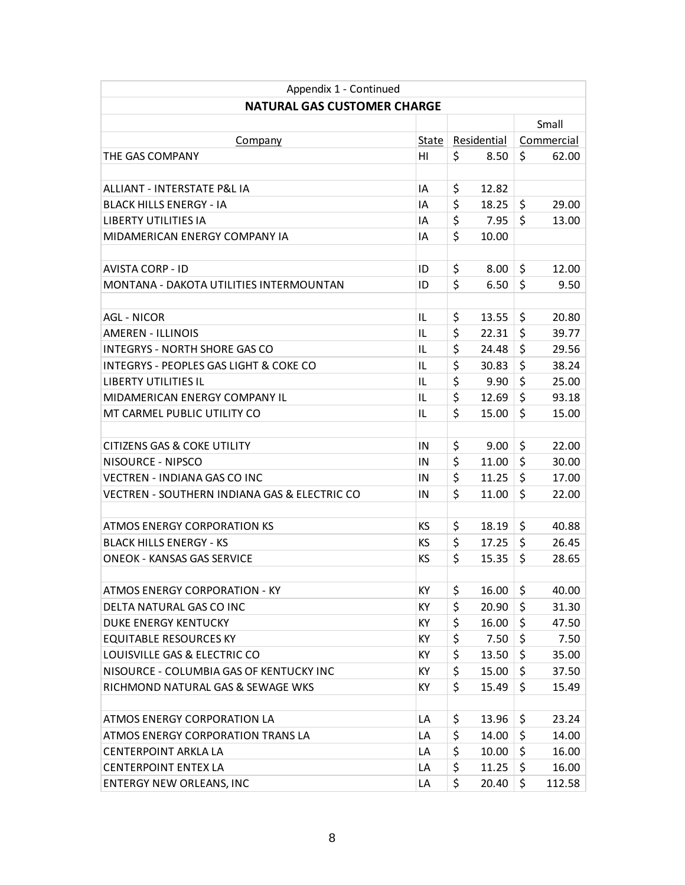| Appendix 1 - Continued                            |           |             |       |            |        |
|---------------------------------------------------|-----------|-------------|-------|------------|--------|
| <b>NATURAL GAS CUSTOMER CHARGE</b>                |           |             |       |            |        |
|                                                   |           |             |       | Small      |        |
| <b>Company</b>                                    | State     | Residential |       | Commercial |        |
| THE GAS COMPANY                                   | HI        | \$          | 8.50  | \$         | 62.00  |
|                                                   |           |             |       |            |        |
| ALLIANT - INTERSTATE P&L IA                       | ΙA        | \$          | 12.82 |            |        |
| <b>BLACK HILLS ENERGY - IA</b>                    | ΙA        | \$          | 18.25 | \$         | 29.00  |
| <b>LIBERTY UTILITIES IA</b>                       | ΙA        | \$          | 7.95  | \$         | 13.00  |
| MIDAMERICAN ENERGY COMPANY IA                     | IA        | \$          | 10.00 |            |        |
|                                                   |           |             |       |            |        |
| <b>AVISTA CORP - ID</b>                           | ID        | \$          | 8.00  | \$         | 12.00  |
| MONTANA - DAKOTA UTILITIES INTERMOUNTAN           | ID        | \$          | 6.50  | \$         | 9.50   |
|                                                   |           |             |       |            |        |
| <b>AGL - NICOR</b>                                | IL        | \$          | 13.55 | \$         | 20.80  |
| AMFRFN - ILLINOIS                                 | IL        | \$          | 22.31 | \$         | 39.77  |
| <b>INTEGRYS - NORTH SHORE GAS CO</b>              | IL        | \$          | 24.48 | \$         | 29.56  |
| <b>INTEGRYS - PEOPLES GAS LIGHT &amp; COKE CO</b> | IL        | \$          | 30.83 | \$         | 38.24  |
| <b>LIBERTY UTILITIES IL</b>                       | IL        | \$          | 9.90  | \$         | 25.00  |
| MIDAMERICAN ENERGY COMPANY IL                     | IL        | \$          | 12.69 | \$         | 93.18  |
| MT CARMEL PUBLIC UTILITY CO                       | IL        | \$          | 15.00 | \$         | 15.00  |
|                                                   |           |             |       |            |        |
| CITIZENS GAS & COKE UTILITY                       | ΙN        | \$          | 9.00  | \$         | 22.00  |
| NISOURCE - NIPSCO                                 | ΙN        | \$          | 11.00 | \$         | 30.00  |
| <b>VECTREN - INDIANA GAS CO INC</b>               | ΙN        | \$          | 11.25 | \$         | 17.00  |
| VECTREN - SOUTHERN INDIANA GAS & ELECTRIC CO      | ΙN        | \$          | 11.00 | \$         | 22.00  |
|                                                   |           |             |       |            |        |
| ATMOS ENERGY CORPORATION KS                       | KS        | \$          | 18.19 | \$         | 40.88  |
| <b>BLACK HILLS ENERGY - KS</b>                    | KS        | \$          | 17.25 | \$         | 26.45  |
| <b>ONEOK - KANSAS GAS SERVICE</b>                 | КS        | \$          | 15.35 | \$         | 28.65  |
|                                                   |           |             |       |            |        |
| <b>ATMOS ENERGY CORPORATION - KY</b>              | KY        | \$          | 16.00 | \$         | 40.00  |
| DELTA NATURAL GAS CO INC                          | KY        | \$          | 20.90 | \$         | 31.30  |
| <b>DUKE ENERGY KENTUCKY</b>                       | KY        | \$          | 16.00 | \$         | 47.50  |
| <b>EQUITABLE RESOURCES KY</b>                     | <b>KY</b> | \$          | 7.50  | \$         | 7.50   |
| LOUISVILLE GAS & ELECTRIC CO                      | КY        | \$          | 13.50 | \$         | 35.00  |
| NISOURCE - COLUMBIA GAS OF KENTUCKY INC           | <b>KY</b> | \$          | 15.00 | \$         | 37.50  |
| RICHMOND NATURAL GAS & SEWAGE WKS                 | KY        | \$          | 15.49 | \$         | 15.49  |
|                                                   |           |             |       |            |        |
| ATMOS ENERGY CORPORATION LA                       | LA        | \$          | 13.96 | \$         | 23.24  |
| ATMOS ENERGY CORPORATION TRANS LA                 | LA        | \$          | 14.00 | \$         | 14.00  |
| <b>CENTERPOINT ARKLA LA</b>                       | LA        | \$          | 10.00 | \$         | 16.00  |
| <b>CENTERPOINT ENTEX LA</b>                       | LA        | \$          | 11.25 | \$         | 16.00  |
| <b>ENTERGY NEW ORLEANS, INC</b>                   | LA        | \$          | 20.40 | \$         | 112.58 |
|                                                   |           |             |       |            |        |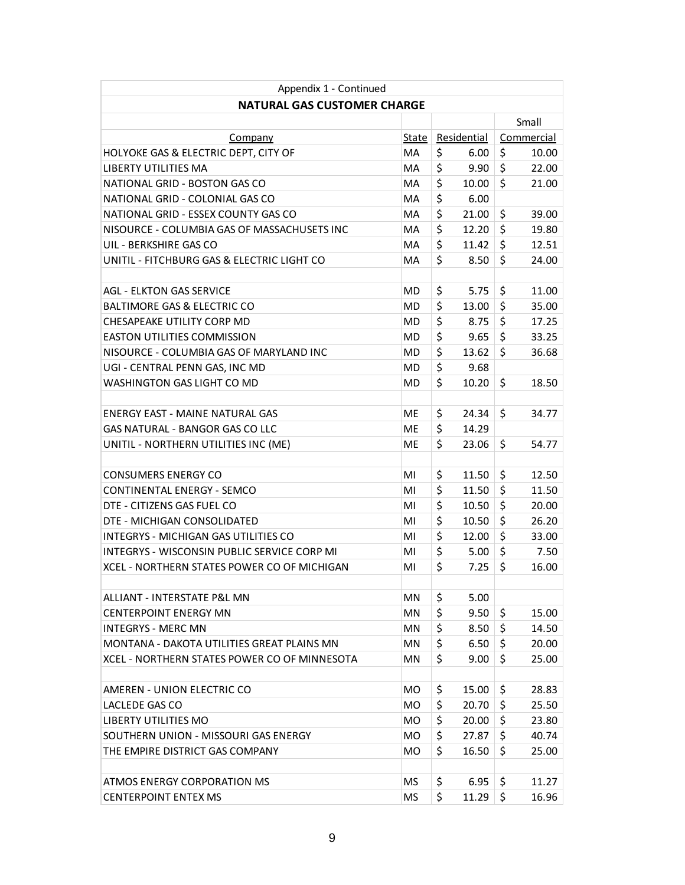| Appendix 1 - Continued                       |           |             |       |            |       |
|----------------------------------------------|-----------|-------------|-------|------------|-------|
| <b>NATURAL GAS CUSTOMER CHARGE</b>           |           |             |       |            |       |
|                                              |           |             |       | Small      |       |
| Company                                      | State     | Residential |       | Commercial |       |
| HOLYOKE GAS & ELECTRIC DEPT, CITY OF         | MA        | \$          | 6.00  | \$         | 10.00 |
| LIBERTY UTILITIES MA                         | МA        | \$          | 9.90  | \$         | 22.00 |
| NATIONAL GRID - BOSTON GAS CO                | MA        | \$          | 10.00 | \$         | 21.00 |
| NATIONAL GRID - COLONIAL GAS CO              | MA        | \$          | 6.00  |            |       |
| NATIONAL GRID - ESSEX COUNTY GAS CO          | MA        | \$          | 21.00 | \$         | 39.00 |
| NISOURCE - COLUMBIA GAS OF MASSACHUSETS INC  | MA        | \$          | 12.20 | \$         | 19.80 |
| UIL - BERKSHIRE GAS CO                       | MA        | \$          | 11.42 | \$         | 12.51 |
| UNITIL - FITCHBURG GAS & ELECTRIC LIGHT CO   | MA        | \$          | 8.50  | \$         | 24.00 |
|                                              |           |             |       |            |       |
| <b>AGL - ELKTON GAS SERVICE</b>              | MD        | \$          | 5.75  | \$         | 11.00 |
| <b>BALTIMORE GAS &amp; ELECTRIC CO</b>       | MD        | \$          | 13.00 | \$         | 35.00 |
| CHESAPEAKE UTILITY CORP MD                   | MD        | \$          | 8.75  | \$         | 17.25 |
| <b>EASTON UTILITIES COMMISSION</b>           | MD        | \$          | 9.65  | \$         | 33.25 |
| NISOURCE - COLUMBIA GAS OF MARYLAND INC      | <b>MD</b> | \$          | 13.62 | \$         | 36.68 |
| UGI - CENTRAL PENN GAS, INC MD               | MD        | \$          | 9.68  |            |       |
| <b>WASHINGTON GAS LIGHT CO MD</b>            | MD        | \$          | 10.20 | \$         | 18.50 |
|                                              |           |             |       |            |       |
| <b>ENERGY EAST - MAINE NATURAL GAS</b>       | <b>ME</b> | \$          | 24.34 | \$         | 34.77 |
| <b>GAS NATURAL - BANGOR GAS CO LLC</b>       | МE        | \$          | 14.29 |            |       |
| UNITIL - NORTHERN UTILITIES INC (ME)         | МE        | \$          | 23.06 | \$         | 54.77 |
|                                              |           |             |       |            |       |
| <b>CONSUMERS ENERGY CO</b>                   | MI        | \$          | 11.50 | \$         | 12.50 |
| CONTINENTAL ENERGY - SEMCO                   | MI        | \$          | 11.50 | \$         | 11.50 |
| DTE - CITIZENS GAS FUEL CO                   | MI        | \$          | 10.50 | \$         | 20.00 |
| DTE - MICHIGAN CONSOLIDATED                  | MI        | \$          | 10.50 | \$         | 26.20 |
| <b>INTEGRYS - MICHIGAN GAS UTILITIES CO</b>  | MI        | \$          | 12.00 | \$         | 33.00 |
| INTEGRYS - WISCONSIN PUBLIC SERVICE CORP MI  | MI        | \$          | 5.00  | \$         | 7.50  |
| XCEL - NORTHERN STATES POWER CO OF MICHIGAN  | MI        | \$          | 7.25  | \$         | 16.00 |
|                                              |           |             |       |            |       |
| ALLIANT - INTERSTATE P&L MN                  | ΜN        | \$          | 5.00  |            |       |
| <b>CENTERPOINT ENERGY MN</b>                 | <b>MN</b> | \$          | 9.50  | \$         | 15.00 |
| <b>INTEGRYS - MERC MN</b>                    | MN        | \$          | 8.50  | $\zeta$    | 14.50 |
| MONTANA - DAKOTA UTILITIES GREAT PLAINS MN   | MN        | \$          | 6.50  | \$         | 20.00 |
| XCEL - NORTHERN STATES POWER CO OF MINNESOTA | ΜN        | \$          | 9.00  | \$         | 25.00 |
|                                              |           |             |       |            |       |
| AMEREN - UNION ELECTRIC CO                   | MO.       | \$          | 15.00 | \$         | 28.83 |
| LACLEDE GAS CO                               | MO.       | \$          | 20.70 | \$         | 25.50 |
| LIBERTY UTILITIES MO                         | MO.       | \$          | 20.00 | \$         | 23.80 |
| SOUTHERN UNION - MISSOURI GAS ENERGY         | MO.       | \$          | 27.87 | \$         | 40.74 |
| THE EMPIRE DISTRICT GAS COMPANY              | MO        | \$          | 16.50 | \$         | 25.00 |
|                                              |           |             |       |            |       |
| <b>ATMOS ENERGY CORPORATION MS</b>           | MS        | \$          | 6.95  | \$         | 11.27 |
| <b>CENTERPOINT ENTEX MS</b>                  | ΜS        | \$          | 11.29 | \$         | 16.96 |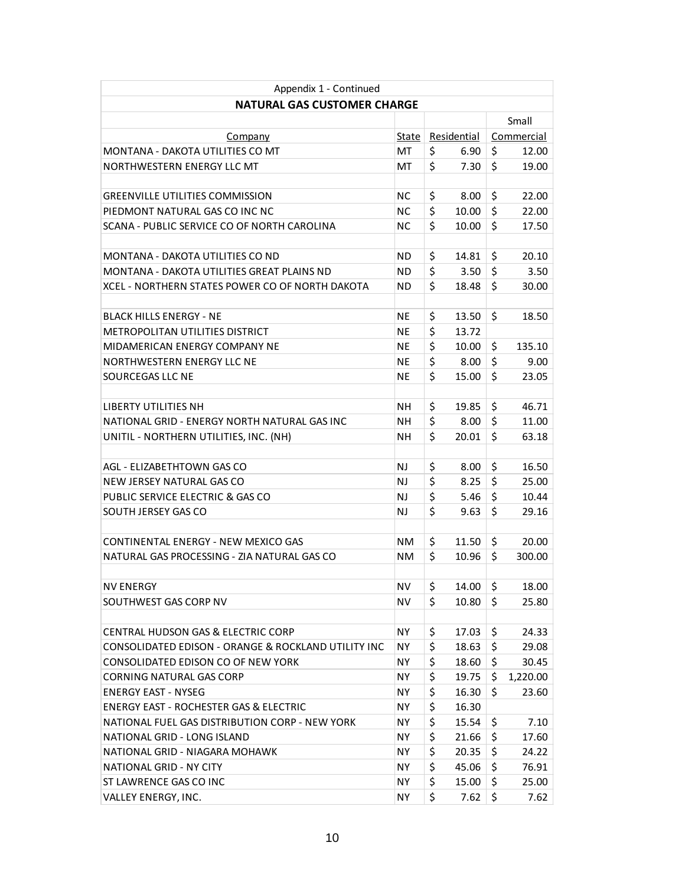| Appendix 1 - Continued                              |           |             |       |            |  |  |
|-----------------------------------------------------|-----------|-------------|-------|------------|--|--|
| <b>NATURAL GAS CUSTOMER CHARGE</b>                  |           |             |       |            |  |  |
|                                                     |           |             | Small |            |  |  |
| Company                                             | State     | Residential |       | Commercial |  |  |
| MONTANA - DAKOTA UTILITIES CO MT                    | MT        | \$<br>6.90  | \$    | 12.00      |  |  |
| NORTHWESTERN ENERGY LLC MT                          | МT        | \$<br>7.30  | \$    | 19.00      |  |  |
|                                                     |           |             |       |            |  |  |
| <b>GREENVILLE UTILITIES COMMISSION</b>              | NС        | \$<br>8.00  | \$    | 22.00      |  |  |
| PIEDMONT NATURAL GAS CO INC NC                      | NС        | \$<br>10.00 | \$    | 22.00      |  |  |
| SCANA - PUBLIC SERVICE CO OF NORTH CAROLINA         | NС        | \$<br>10.00 | \$    | 17.50      |  |  |
|                                                     |           |             |       |            |  |  |
| MONTANA - DAKOTA UTILITIES CO ND                    | ND        | \$<br>14.81 | \$    | 20.10      |  |  |
| MONTANA - DAKOTA UTILITIES GREAT PLAINS ND          | ND.       | \$<br>3.50  | \$    | 3.50       |  |  |
| XCEL - NORTHERN STATES POWER CO OF NORTH DAKOTA     | ND        | \$<br>18.48 | \$    | 30.00      |  |  |
|                                                     |           |             |       |            |  |  |
| BLACK HILLS ENERGY - NE                             | NE        | \$<br>13.50 | \$    | 18.50      |  |  |
| <b>METROPOLITAN UTILITIES DISTRICT</b>              | NE        | \$<br>13.72 |       |            |  |  |
| MIDAMERICAN ENERGY COMPANY NE                       | NE.       | \$<br>10.00 | \$    | 135.10     |  |  |
| NORTHWESTERN ENERGY LLC NE                          | NE        | \$<br>8.00  | \$    | 9.00       |  |  |
| SOURCEGAS LLC NE                                    | <b>NE</b> | \$<br>15.00 | \$    | 23.05      |  |  |
|                                                     |           |             |       |            |  |  |
| <b>LIBERTY UTILITIES NH</b>                         | NΗ        | \$<br>19.85 | \$    | 46.71      |  |  |
| NATIONAL GRID - ENERGY NORTH NATURAL GAS INC        | NΗ        | \$<br>8.00  | \$    | 11.00      |  |  |
| UNITIL - NORTHERN UTILITIES, INC. (NH)              | NΗ        | \$<br>20.01 | \$    | 63.18      |  |  |
|                                                     |           |             |       |            |  |  |
| AGL - ELIZABETHTOWN GAS CO                          | NJ        | \$<br>8.00  | \$    | 16.50      |  |  |
| NEW JERSEY NATURAL GAS CO                           | NJ        | \$<br>8.25  | \$    | 25.00      |  |  |
| PUBLIC SERVICE ELECTRIC & GAS CO                    | NJ        | \$<br>5.46  | \$    | 10.44      |  |  |
| SOUTH JERSEY GAS CO                                 | NJ        | \$<br>9.63  | \$    | 29.16      |  |  |
|                                                     |           |             |       |            |  |  |
| CONTINENTAL ENERGY - NEW MEXICO GAS                 | <b>NM</b> | \$<br>11.50 | \$    | 20.00      |  |  |
| NATURAL GAS PROCESSING - ZIA NATURAL GAS CO         | NM        | \$<br>10.96 | \$    | 300.00     |  |  |
|                                                     |           |             |       |            |  |  |
| <b>NV ENERGY</b>                                    | <b>NV</b> | \$<br>14.00 | \$    | 18.00      |  |  |
| SOUTHWEST GAS CORP NV                               | NV        | \$<br>10.80 | \$    | 25.80      |  |  |
|                                                     |           |             |       |            |  |  |
| <b>CENTRAL HUDSON GAS &amp; ELECTRIC CORP</b>       | NY.       | \$<br>17.03 | \$    | 24.33      |  |  |
| CONSOLIDATED EDISON - ORANGE & ROCKLAND UTILITY INC | NY.       | \$<br>18.63 | \$    | 29.08      |  |  |
| CONSOLIDATED EDISON CO OF NEW YORK                  | NY.       | \$<br>18.60 | \$    | 30.45      |  |  |
| CORNING NATURAL GAS CORP                            | NY.       | \$<br>19.75 | \$    | 1,220.00   |  |  |
| <b>ENERGY EAST - NYSEG</b>                          | NY.       | \$<br>16.30 | \$    | 23.60      |  |  |
| <b>ENERGY EAST - ROCHESTER GAS &amp; ELECTRIC</b>   | NY.       | \$<br>16.30 |       |            |  |  |
| NATIONAL FUEL GAS DISTRIBUTION CORP - NEW YORK      | NY.       | \$<br>15.54 | \$    | 7.10       |  |  |
| NATIONAL GRID - LONG ISLAND                         | NY.       | \$<br>21.66 | \$    | 17.60      |  |  |
| NATIONAL GRID - NIAGARA MOHAWK                      | NY.       | \$<br>20.35 | \$    | 24.22      |  |  |
| NATIONAL GRID - NY CITY                             | NY.       | \$<br>45.06 | \$    | 76.91      |  |  |
| ST LAWRENCE GAS CO INC                              | NY.       | \$<br>15.00 | \$    | 25.00      |  |  |
| VALLEY ENERGY, INC.                                 | NY.       | \$<br>7.62  | \$    | 7.62       |  |  |
|                                                     |           |             |       |            |  |  |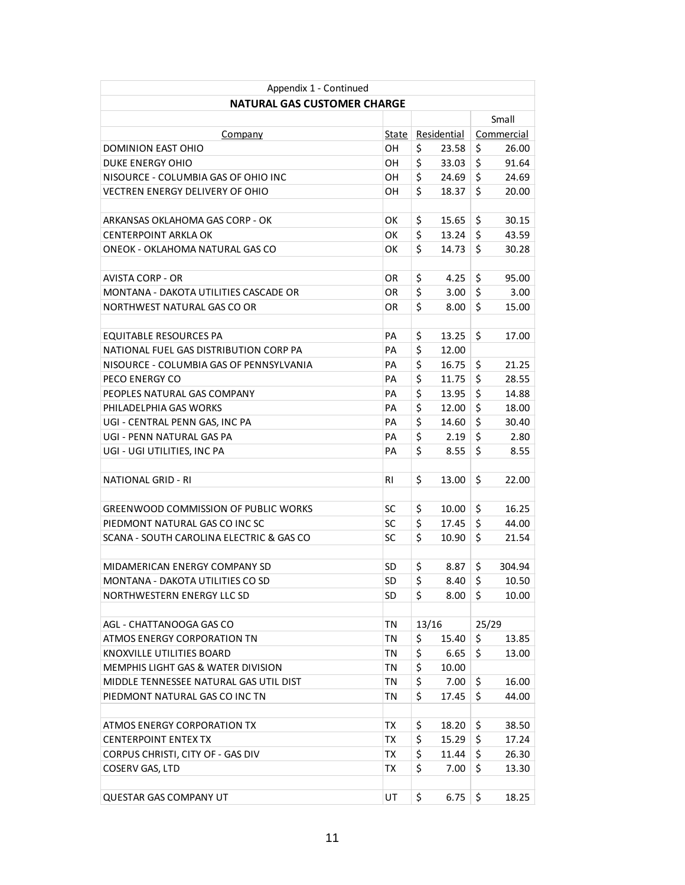| Appendix 1 - Continued                      |       |             |       |            |        |  |
|---------------------------------------------|-------|-------------|-------|------------|--------|--|
| <b>NATURAL GAS CUSTOMER CHARGE</b>          |       |             |       |            |        |  |
|                                             |       |             |       | Small      |        |  |
| Company                                     | State | Residential |       | Commercial |        |  |
| DOMINION EAST OHIO                          | OН    | \$          | 23.58 | \$         | 26.00  |  |
| DUKE ENERGY OHIO                            | OН    | \$          | 33.03 | \$         | 91.64  |  |
| NISOURCE - COLUMBIA GAS OF OHIO INC         | OН    | \$          | 24.69 | \$         | 24.69  |  |
| <b>VECTREN ENERGY DELIVERY OF OHIO</b>      | OН    | \$          | 18.37 | \$         | 20.00  |  |
|                                             |       |             |       |            |        |  |
| ARKANSAS OKLAHOMA GAS CORP - OK             | ОK    | \$          | 15.65 | \$         | 30.15  |  |
| CENTERPOINT ARKLA OK                        | ОΚ    | \$          | 13.24 | \$         | 43.59  |  |
| ONEOK - OKLAHOMA NATURAL GAS CO             | ОΚ    | \$          | 14.73 | \$         | 30.28  |  |
|                                             |       |             |       |            |        |  |
| <b>AVISTA CORP - OR</b>                     | OR    | \$          | 4.25  | \$         | 95.00  |  |
| MONTANA - DAKOTA UTILITIES CASCADE OR       | OR    | \$          | 3.00  | \$         | 3.00   |  |
| NORTHWEST NATURAL GAS CO OR                 | OR    | \$          | 8.00  | \$         | 15.00  |  |
|                                             |       |             |       |            |        |  |
| <b>EQUITABLE RESOURCES PA</b>               | PА    | \$          | 13.25 | \$         | 17.00  |  |
| NATIONAL FUEL GAS DISTRIBUTION CORP PA      | PA    | \$          | 12.00 |            |        |  |
| NISOURCE - COLUMBIA GAS OF PENNSYLVANIA     | PА    | \$          | 16.75 | \$         | 21.25  |  |
| PECO ENERGY CO                              | PА    | \$          | 11.75 | $\zeta$    | 28.55  |  |
| PEOPLES NATURAL GAS COMPANY                 | PА    | \$          | 13.95 | $\zeta$    | 14.88  |  |
| PHILADELPHIA GAS WORKS                      | PА    | \$          | 12.00 | \$         | 18.00  |  |
| UGI - CENTRAL PENN GAS, INC PA              | PА    | \$          | 14.60 | \$         | 30.40  |  |
| UGI - PENN NATURAL GAS PA                   | PА    | \$          | 2.19  | \$         | 2.80   |  |
| UGI - UGI UTILITIES, INC PA                 | PА    | \$          | 8.55  | \$         | 8.55   |  |
|                                             |       |             |       |            |        |  |
| NATIONAL GRID - RI                          | RI    | \$          | 13.00 | \$         | 22.00  |  |
|                                             |       |             |       |            |        |  |
| <b>GREENWOOD COMMISSION OF PUBLIC WORKS</b> | SC    | \$          | 10.00 | \$         | 16.25  |  |
| PIEDMONT NATURAL GAS CO INC SC              | SC    | \$          | 17.45 | \$         | 44.00  |  |
| SCANA - SOUTH CAROLINA ELECTRIC & GAS CO    | SC    | \$          | 10.90 | \$         | 21.54  |  |
|                                             |       |             |       |            |        |  |
| MIDAMERICAN ENERGY COMPANY SD               | SD    | \$          | 8.87  | \$         | 304.94 |  |
| MONTANA - DAKOTA UTILITIES CO SD            | SD    | \$          | 8.40  | \$         | 10.50  |  |
| NORTHWESTERN ENERGY LLC SD                  | SD    | \$          | 8.00  | \$         | 10.00  |  |
|                                             |       |             |       |            |        |  |
| AGL - CHATTANOOGA GAS CO                    | ΤN    | 13/16       |       | 25/29      |        |  |
| ATMOS ENERGY CORPORATION TN                 | ΤN    | \$          | 15.40 | \$         | 13.85  |  |
| KNOXVILLE UTILITIES BOARD                   | TN    | \$          | 6.65  | \$         | 13.00  |  |
| MEMPHIS LIGHT GAS & WATER DIVISION          | ΤN    | \$          | 10.00 |            |        |  |
| MIDDLE TENNESSEE NATURAL GAS UTIL DIST      | ΤN    | \$          | 7.00  | \$         | 16.00  |  |
| PIEDMONT NATURAL GAS CO INC TN              | TN    | \$          | 17.45 | \$         | 44.00  |  |
|                                             |       |             |       |            |        |  |
| ATMOS ENERGY CORPORATION TX                 | TХ    | \$          | 18.20 | \$         | 38.50  |  |
| <b>CENTERPOINT ENTEX TX</b>                 | ТX    | \$          | 15.29 | \$         | 17.24  |  |
| CORPUS CHRISTI, CITY OF - GAS DIV           | ТX    | \$          | 11.44 | \$         | 26.30  |  |
| COSERV GAS, LTD                             | TХ    | \$          | 7.00  | \$         | 13.30  |  |
|                                             |       |             |       |            |        |  |
| QUESTAR GAS COMPANY UT                      | UT    | \$          | 6.75  | \$         | 18.25  |  |
|                                             |       |             |       |            |        |  |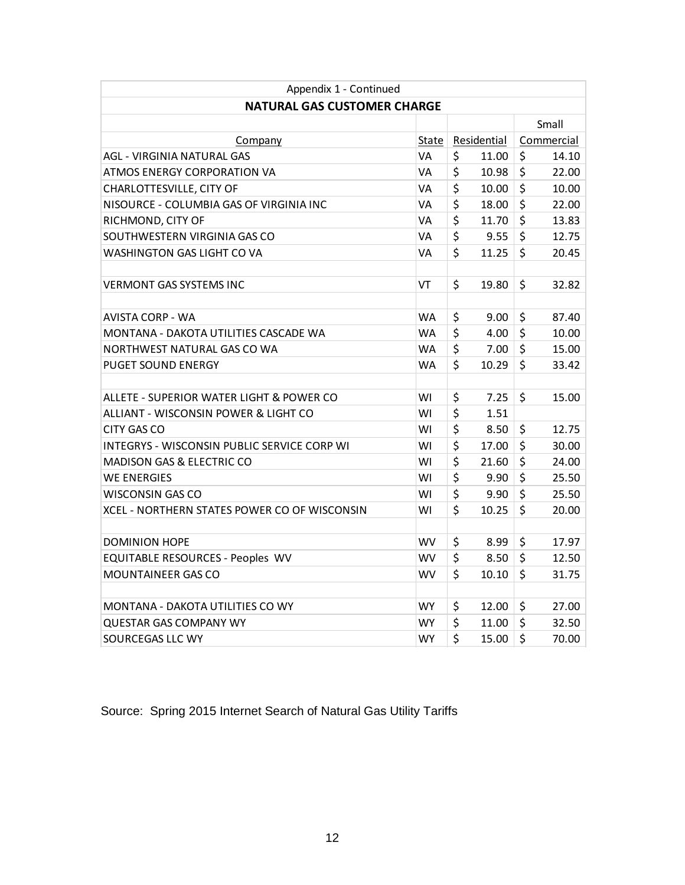| Appendix 1 - Continued                       |           |             |       |            |       |  |
|----------------------------------------------|-----------|-------------|-------|------------|-------|--|
| <b>NATURAL GAS CUSTOMER CHARGE</b>           |           |             |       |            |       |  |
|                                              |           |             |       | Small      |       |  |
| Company                                      | State     | Residential |       | Commercial |       |  |
| AGL - VIRGINIA NATURAL GAS                   | VA        | \$          | 11.00 | \$         | 14.10 |  |
| ATMOS ENERGY CORPORATION VA                  | VA        | \$          | 10.98 | \$         | 22.00 |  |
| CHARLOTTESVILLE, CITY OF                     | VA        | \$          | 10.00 | \$         | 10.00 |  |
| NISOURCE - COLUMBIA GAS OF VIRGINIA INC      | VA        | \$          | 18.00 | \$         | 22.00 |  |
| RICHMOND, CITY OF                            | VA        | \$          | 11.70 | \$         | 13.83 |  |
| SOUTHWESTERN VIRGINIA GAS CO                 | VA        | \$          | 9.55  | \$         | 12.75 |  |
| WASHINGTON GAS LIGHT CO VA                   | VA        | \$          | 11.25 | \$         | 20.45 |  |
|                                              |           |             |       |            |       |  |
| <b>VERMONT GAS SYSTEMS INC</b>               | VT        | \$          | 19.80 | \$         | 32.82 |  |
|                                              |           |             |       |            |       |  |
| AVISTA CORP - WA                             | <b>WA</b> | \$          | 9.00  | \$         | 87.40 |  |
| MONTANA - DAKOTA UTILITIES CASCADE WA        | <b>WA</b> | \$          | 4.00  | \$         | 10.00 |  |
| NORTHWEST NATURAL GAS CO WA                  | <b>WA</b> | \$          | 7.00  | \$         | 15.00 |  |
| <b>PUGET SOUND ENERGY</b>                    | <b>WA</b> | \$          | 10.29 | \$         | 33.42 |  |
|                                              |           |             |       |            |       |  |
| ALLETE - SUPERIOR WATER LIGHT & POWER CO     | WI        | \$          | 7.25  | \$         | 15.00 |  |
| ALLIANT - WISCONSIN POWER & LIGHT CO         | WI        | \$          | 1.51  |            |       |  |
| CITY GAS CO                                  | W١        | \$          | 8.50  | \$         | 12.75 |  |
| INTEGRYS - WISCONSIN PUBLIC SERVICE CORP WI  | WI        | \$          | 17.00 | \$         | 30.00 |  |
| <b>MADISON GAS &amp; ELECTRIC CO</b>         | WI        | \$          | 21.60 | \$         | 24.00 |  |
| <b>WE ENERGIES</b>                           | WI        | \$          | 9.90  | \$         | 25.50 |  |
| <b>WISCONSIN GAS CO</b>                      | WI        | \$          | 9.90  | \$         | 25.50 |  |
| XCEL - NORTHERN STATES POWER CO OF WISCONSIN | W١        | \$          | 10.25 | \$         | 20.00 |  |
|                                              |           |             |       |            |       |  |
| <b>DOMINION HOPE</b>                         | <b>WV</b> | \$          | 8.99  | \$         | 17.97 |  |
| EQUITABLE RESOURCES - Peoples WV             | <b>WV</b> | \$          | 8.50  | \$         | 12.50 |  |
| <b>MOUNTAINEER GAS CO</b>                    | WV        | \$          | 10.10 | \$         | 31.75 |  |
|                                              |           |             |       |            |       |  |
| MONTANA - DAKOTA UTILITIES CO WY             | <b>WY</b> | \$          | 12.00 | \$         | 27.00 |  |
| <b>QUESTAR GAS COMPANY WY</b>                | WY        | \$          | 11.00 | \$         | 32.50 |  |
| SOURCEGAS LLC WY                             | <b>WY</b> | \$          | 15.00 | \$         | 70.00 |  |

Source: Spring 2015 Internet Search of Natural Gas Utility Tariffs